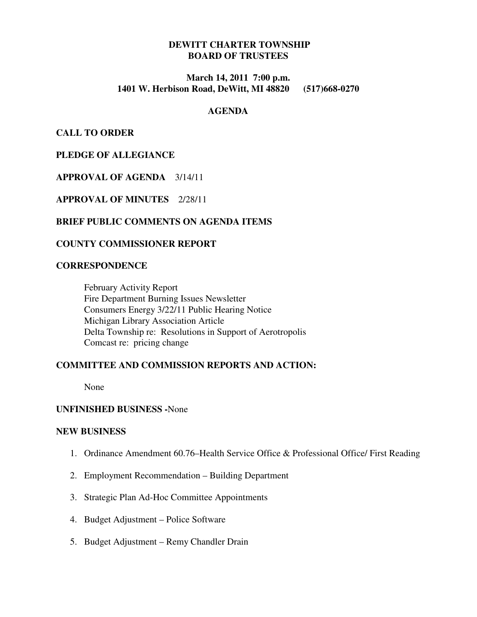# **DEWITT CHARTER TOWNSHIP BOARD OF TRUSTEES**

## **March 14, 2011 7:00 p.m. 1401 W. Herbison Road, DeWitt, MI 48820 (517)668-0270**

#### **AGENDA**

**CALL TO ORDER** 

# **PLEDGE OF ALLEGIANCE**

# **APPROVAL OF AGENDA** 3/14/11

**APPROVAL OF MINUTES** 2/28/11

## **BRIEF PUBLIC COMMENTS ON AGENDA ITEMS**

## **COUNTY COMMISSIONER REPORT**

#### **CORRESPONDENCE**

 February Activity Report Fire Department Burning Issues Newsletter Consumers Energy 3/22/11 Public Hearing Notice Michigan Library Association Article Delta Township re: Resolutions in Support of Aerotropolis Comcast re: pricing change

## **COMMITTEE AND COMMISSION REPORTS AND ACTION:**

None

## **UNFINISHED BUSINESS -**None

#### **NEW BUSINESS**

- 1. Ordinance Amendment 60.76–Health Service Office & Professional Office/ First Reading
- 2. Employment Recommendation Building Department
- 3. Strategic Plan Ad-Hoc Committee Appointments
- 4. Budget Adjustment Police Software
- 5. Budget Adjustment Remy Chandler Drain